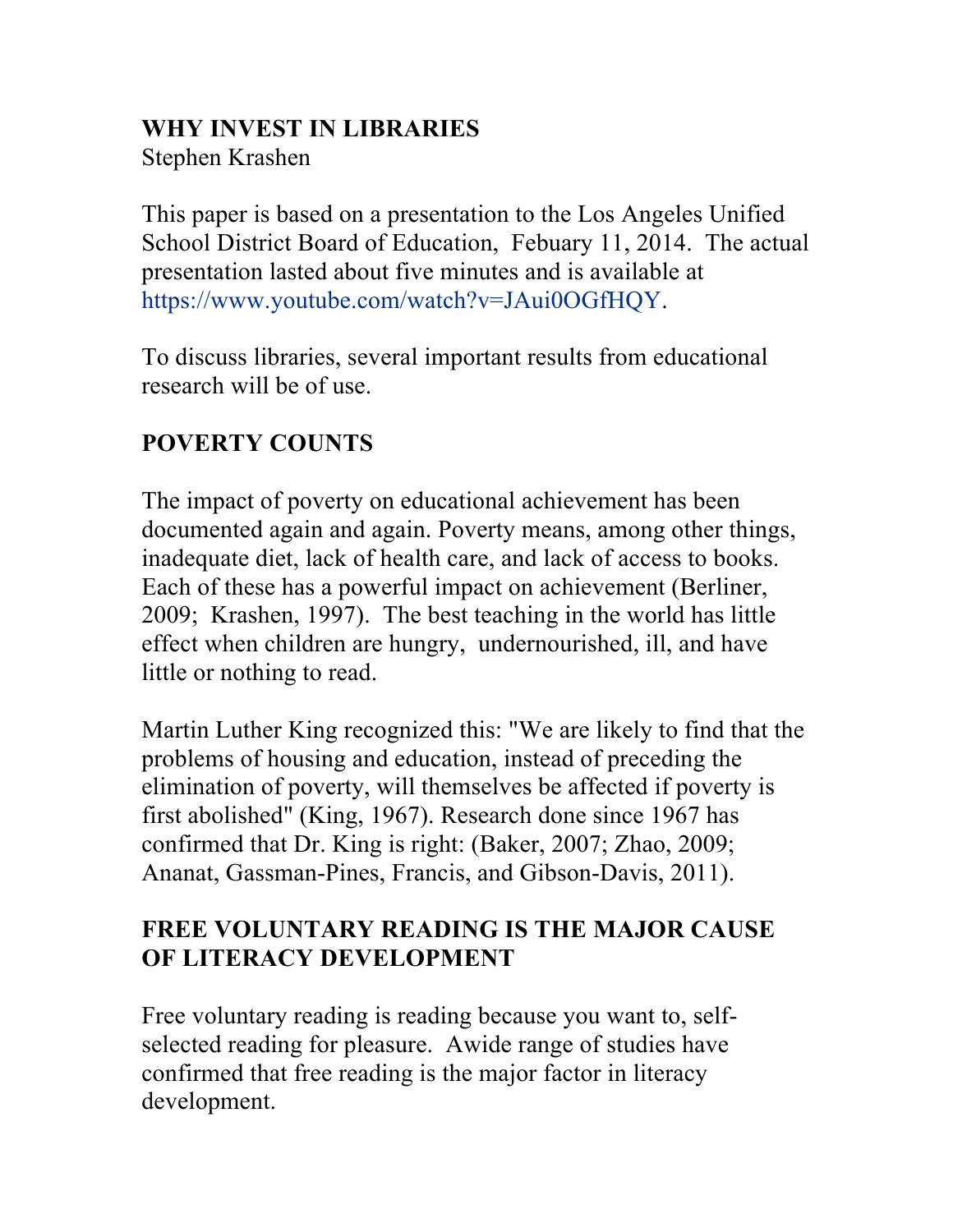#### **WHY INVEST IN LIBRARIES**

Stephen Krashen

This paper is based on a presentation to the Los Angeles Unified School District Board of Education, Febuary 11, 2014. The actual presentation lasted about five minutes and is available at https://www.youtube.com/watch?v=JAui0OGfHQY.

To discuss libraries, several important results from educational research will be of use.

# **POVERTY COUNTS**

The impact of poverty on educational achievement has been documented again and again. Poverty means, among other things, inadequate diet, lack of health care, and lack of access to books. Each of these has a powerful impact on achievement (Berliner, 2009; Krashen, 1997). The best teaching in the world has little effect when children are hungry, undernourished, ill, and have little or nothing to read.

Martin Luther King recognized this: "We are likely to find that the problems of housing and education, instead of preceding the elimination of poverty, will themselves be affected if poverty is first abolished" (King, 1967). Research done since 1967 has confirmed that Dr. King is right: (Baker, 2007; Zhao, 2009; Ananat, Gassman-Pines, Francis, and Gibson-Davis, 2011).

## **FREE VOLUNTARY READING IS THE MAJOR CAUSE OF LITERACY DEVELOPMENT**

Free voluntary reading is reading because you want to, selfselected reading for pleasure. Awide range of studies have confirmed that free reading is the major factor in literacy development.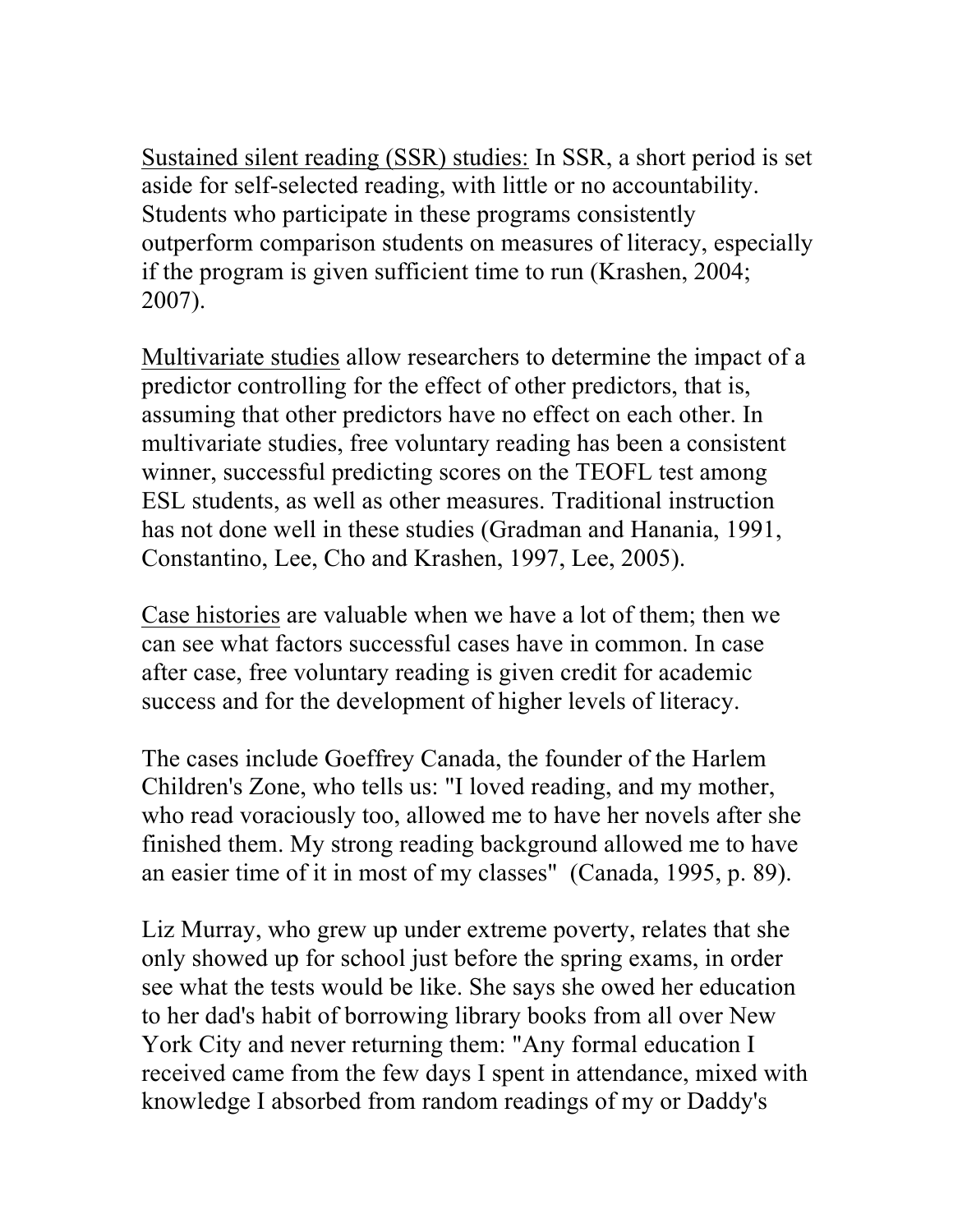Sustained silent reading (SSR) studies: In SSR, a short period is set aside for self-selected reading, with little or no accountability. Students who participate in these programs consistently outperform comparison students on measures of literacy, especially if the program is given sufficient time to run (Krashen, 2004; 2007).

Multivariate studies allow researchers to determine the impact of a predictor controlling for the effect of other predictors, that is, assuming that other predictors have no effect on each other. In multivariate studies, free voluntary reading has been a consistent winner, successful predicting scores on the TEOFL test among ESL students, as well as other measures. Traditional instruction has not done well in these studies (Gradman and Hanania, 1991, Constantino, Lee, Cho and Krashen, 1997, Lee, 2005).

Case histories are valuable when we have a lot of them; then we can see what factors successful cases have in common. In case after case, free voluntary reading is given credit for academic success and for the development of higher levels of literacy.

The cases include Goeffrey Canada, the founder of the Harlem Children's Zone, who tells us: "I loved reading, and my mother, who read voraciously too, allowed me to have her novels after she finished them. My strong reading background allowed me to have an easier time of it in most of my classes" (Canada, 1995, p. 89).

Liz Murray, who grew up under extreme poverty, relates that she only showed up for school just before the spring exams, in order see what the tests would be like. She says she owed her education to her dad's habit of borrowing library books from all over New York City and never returning them: "Any formal education I received came from the few days I spent in attendance, mixed with knowledge I absorbed from random readings of my or Daddy's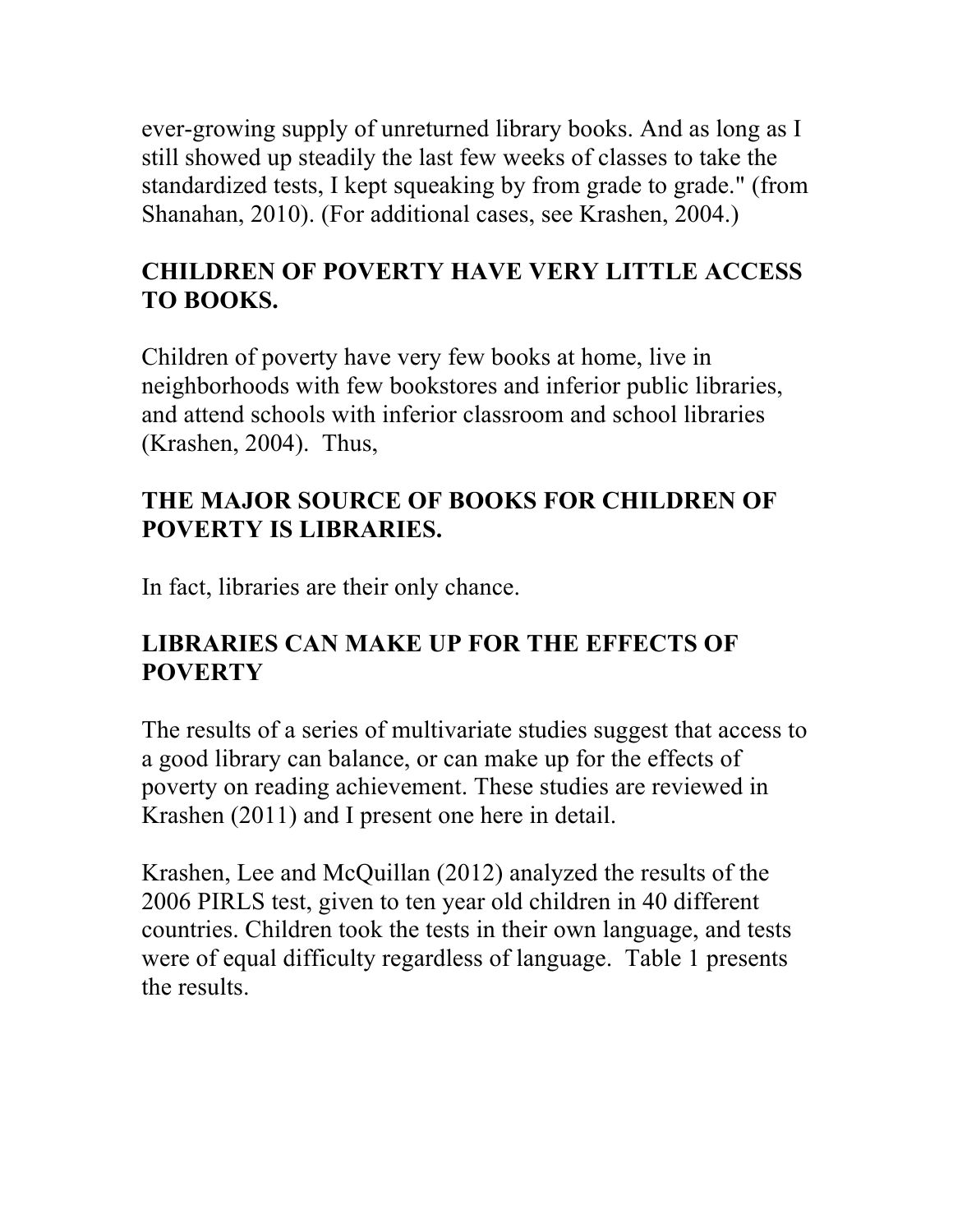ever-growing supply of unreturned library books. And as long as I still showed up steadily the last few weeks of classes to take the standardized tests, I kept squeaking by from grade to grade." (from Shanahan, 2010). (For additional cases, see Krashen, 2004.)

### **CHILDREN OF POVERTY HAVE VERY LITTLE ACCESS TO BOOKS.**

Children of poverty have very few books at home, live in neighborhoods with few bookstores and inferior public libraries, and attend schools with inferior classroom and school libraries (Krashen, 2004). Thus,

### **THE MAJOR SOURCE OF BOOKS FOR CHILDREN OF POVERTY IS LIBRARIES.**

In fact, libraries are their only chance.

## **LIBRARIES CAN MAKE UP FOR THE EFFECTS OF POVERTY**

The results of a series of multivariate studies suggest that access to a good library can balance, or can make up for the effects of poverty on reading achievement. These studies are reviewed in Krashen (2011) and I present one here in detail.

Krashen, Lee and McQuillan (2012) analyzed the results of the 2006 PIRLS test, given to ten year old children in 40 different countries. Children took the tests in their own language, and tests were of equal difficulty regardless of language. Table 1 presents the results.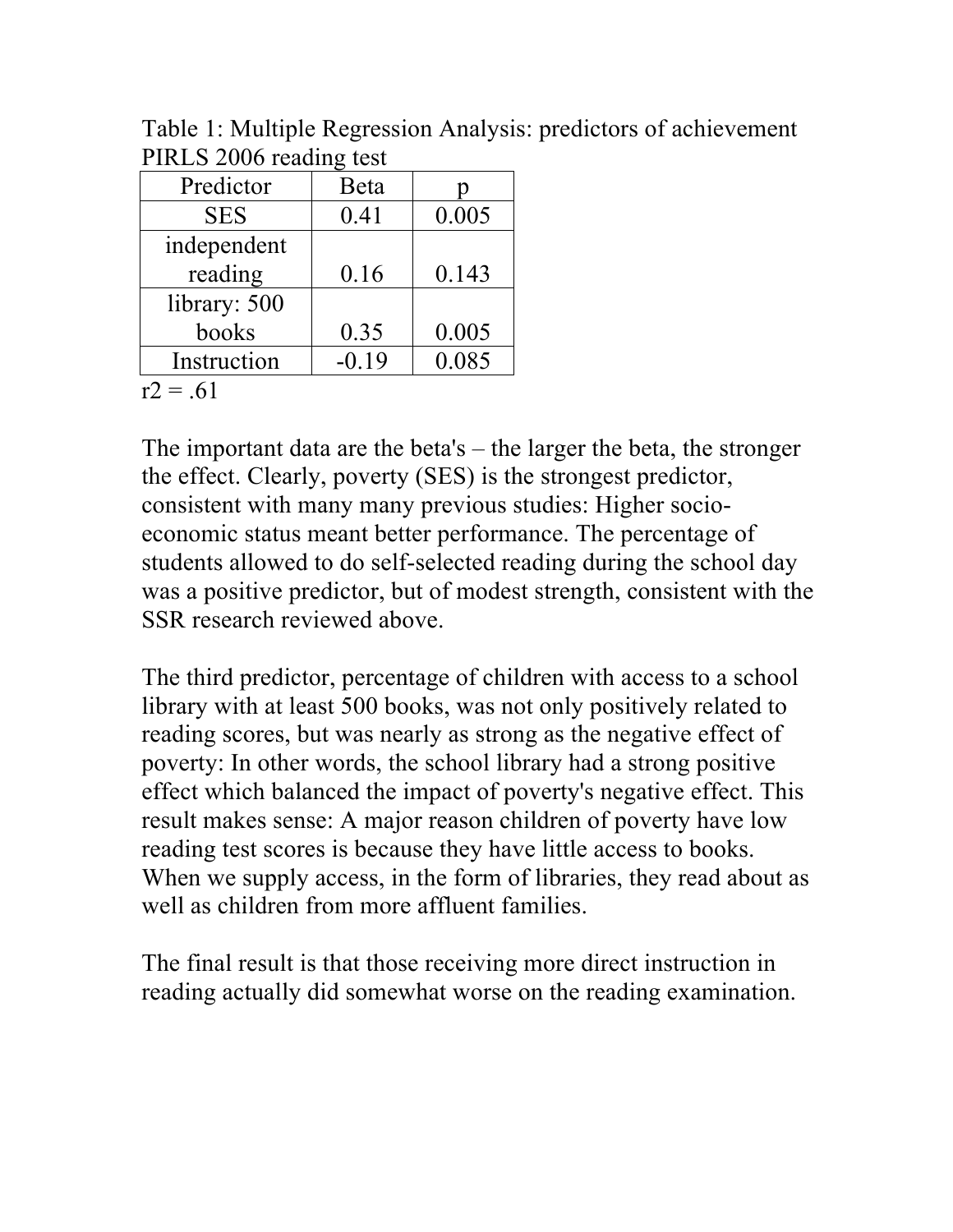| $\blacksquare$ |         |       |
|----------------|---------|-------|
| Predictor      | Beta    |       |
| <b>SES</b>     | 0.41    | 0.005 |
| independent    |         |       |
| reading        | 0.16    | 0.143 |
| library: 500   |         |       |
| books          | 0.35    | 0.005 |
| Instruction    | $-0.19$ | 0.085 |
|                |         |       |

Table 1: Multiple Regression Analysis: predictors of achievement PIRLS 2006 reading test

 $r2 = .61$ 

The important data are the beta's – the larger the beta, the stronger the effect. Clearly, poverty (SES) is the strongest predictor, consistent with many many previous studies: Higher socioeconomic status meant better performance. The percentage of students allowed to do self-selected reading during the school day was a positive predictor, but of modest strength, consistent with the SSR research reviewed above.

The third predictor, percentage of children with access to a school library with at least 500 books, was not only positively related to reading scores, but was nearly as strong as the negative effect of poverty: In other words, the school library had a strong positive effect which balanced the impact of poverty's negative effect. This result makes sense: A major reason children of poverty have low reading test scores is because they have little access to books. When we supply access, in the form of libraries, they read about as well as children from more affluent families.

The final result is that those receiving more direct instruction in reading actually did somewhat worse on the reading examination.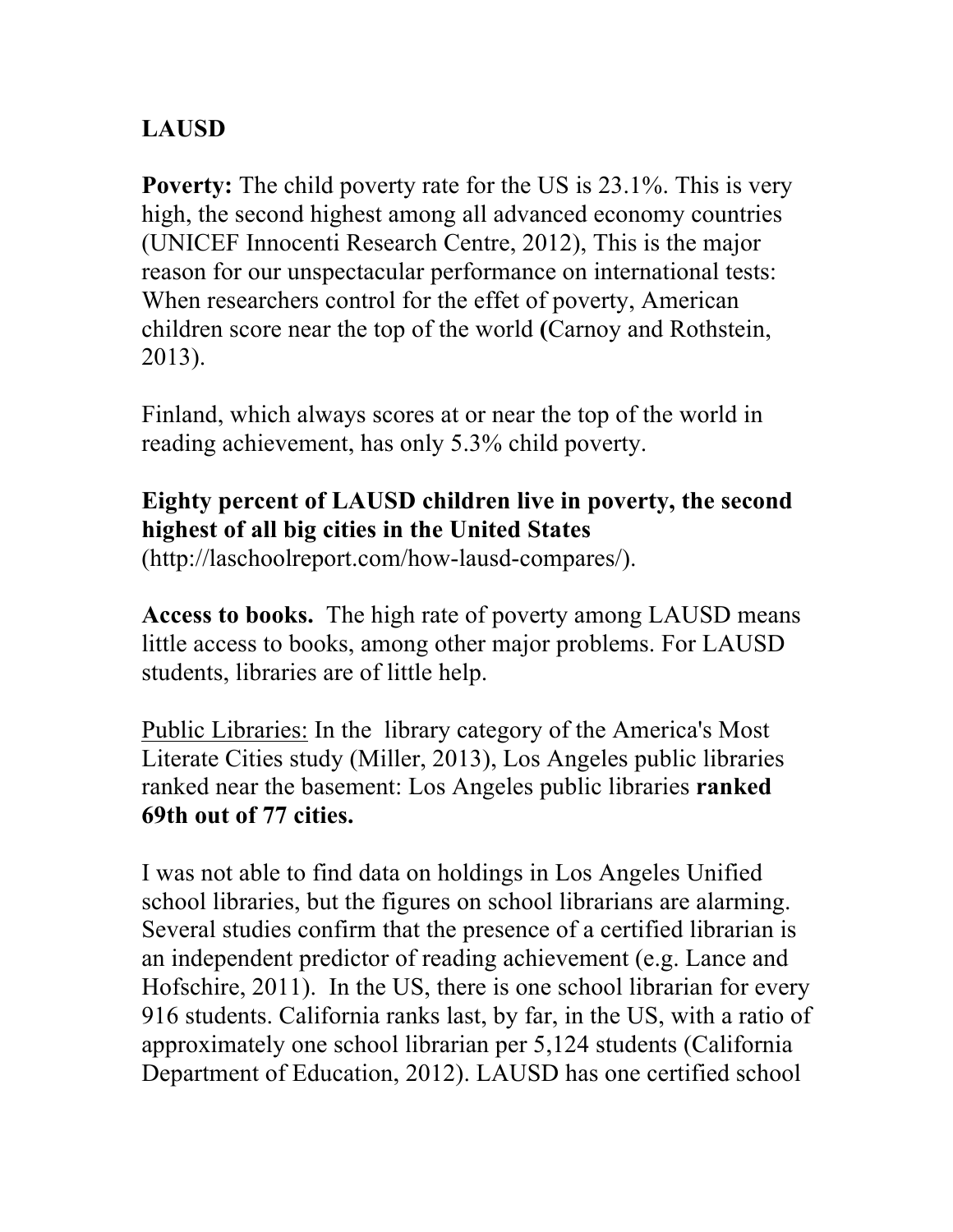## **LAUSD**

**Poverty:** The child poverty rate for the US is 23.1%. This is very high, the second highest among all advanced economy countries (UNICEF Innocenti Research Centre, 2012), This is the major reason for our unspectacular performance on international tests: When researchers control for the effet of poverty, American children score near the top of the world **(**Carnoy and Rothstein, 2013).

Finland, which always scores at or near the top of the world in reading achievement, has only 5.3% child poverty.

### **Eighty percent of LAUSD children live in poverty, the second highest of all big cities in the United States**

(http://laschoolreport.com/how-lausd-compares/).

**Access to books.** The high rate of poverty among LAUSD means little access to books, among other major problems. For LAUSD students, libraries are of little help.

Public Libraries: In the library category of the America's Most Literate Cities study (Miller, 2013), Los Angeles public libraries ranked near the basement: Los Angeles public libraries **ranked 69th out of 77 cities.**

I was not able to find data on holdings in Los Angeles Unified school libraries, but the figures on school librarians are alarming. Several studies confirm that the presence of a certified librarian is an independent predictor of reading achievement (e.g. Lance and Hofschire, 2011). In the US, there is one school librarian for every 916 students. California ranks last, by far, in the US, with a ratio of approximately one school librarian per 5,124 students (California Department of Education, 2012). LAUSD has one certified school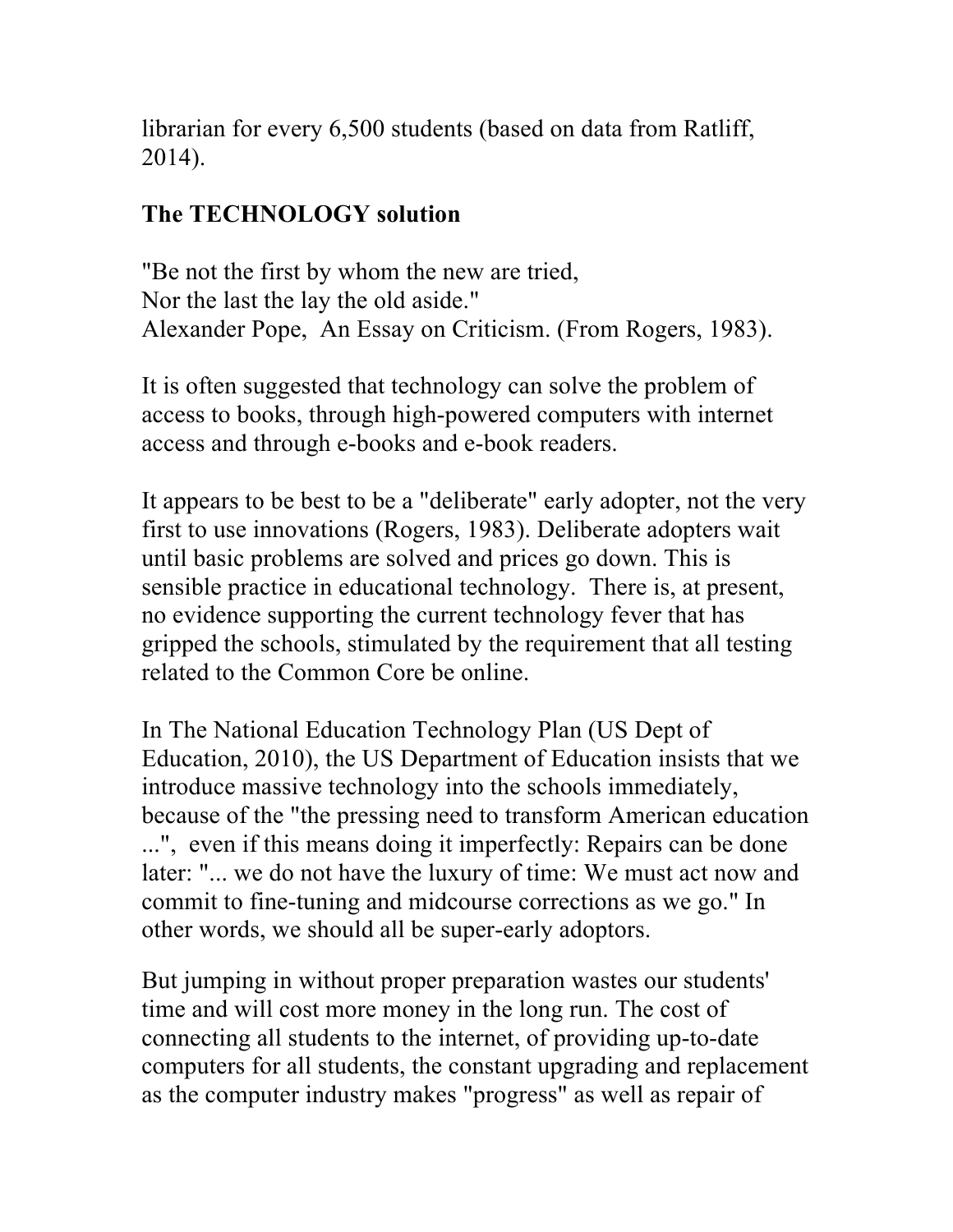librarian for every 6,500 students (based on data from Ratliff, 2014).

## **The TECHNOLOGY solution**

"Be not the first by whom the new are tried, Nor the last the lay the old aside." Alexander Pope, An Essay on Criticism. (From Rogers, 1983).

It is often suggested that technology can solve the problem of access to books, through high-powered computers with internet access and through e-books and e-book readers.

It appears to be best to be a "deliberate" early adopter, not the very first to use innovations (Rogers, 1983). Deliberate adopters wait until basic problems are solved and prices go down. This is sensible practice in educational technology. There is, at present, no evidence supporting the current technology fever that has gripped the schools, stimulated by the requirement that all testing related to the Common Core be online.

In The National Education Technology Plan (US Dept of Education, 2010), the US Department of Education insists that we introduce massive technology into the schools immediately, because of the "the pressing need to transform American education ...", even if this means doing it imperfectly: Repairs can be done later: "... we do not have the luxury of time: We must act now and commit to fine-tuning and midcourse corrections as we go." In other words, we should all be super-early adoptors.

But jumping in without proper preparation wastes our students' time and will cost more money in the long run. The cost of connecting all students to the internet, of providing up-to-date computers for all students, the constant upgrading and replacement as the computer industry makes "progress" as well as repair of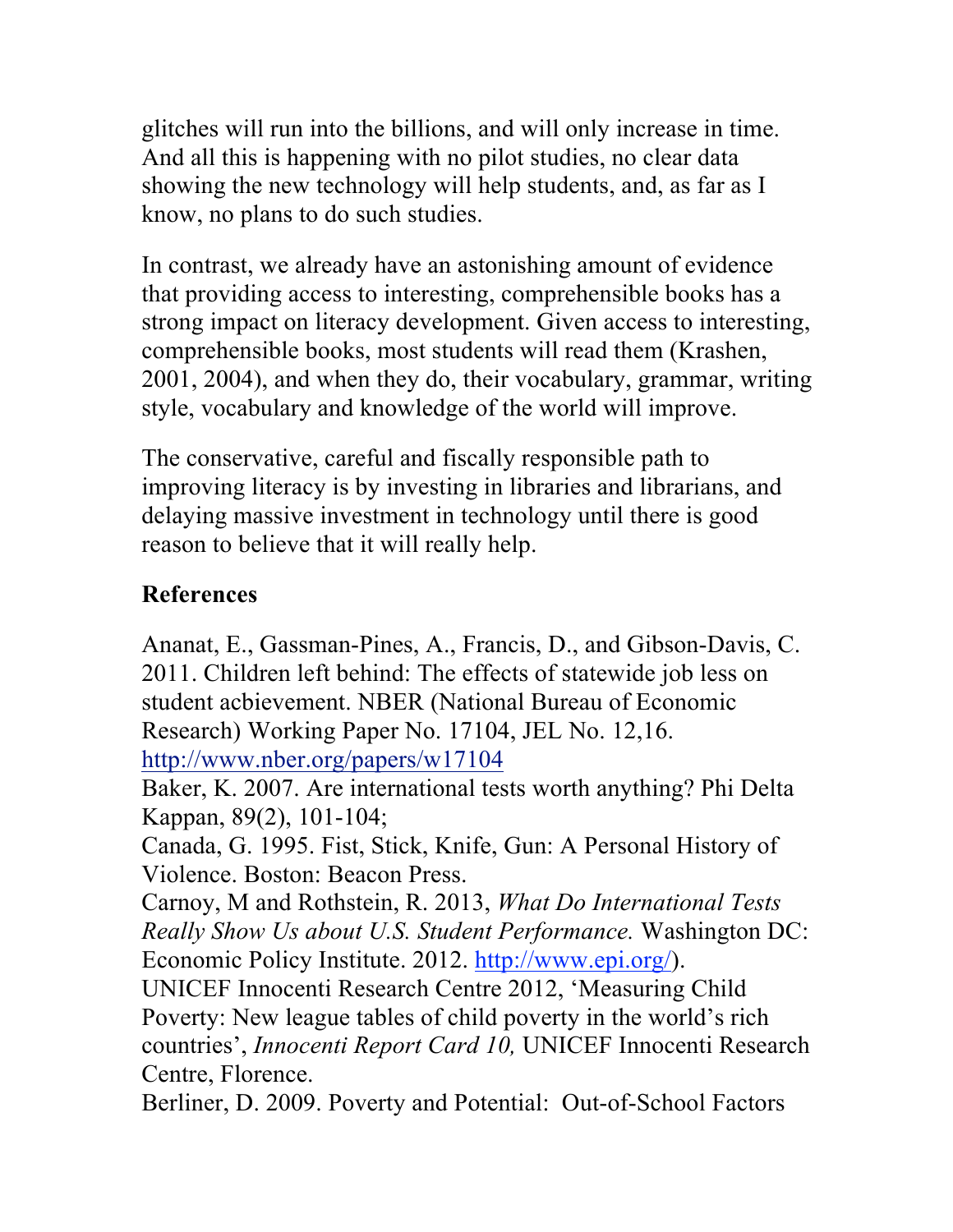glitches will run into the billions, and will only increase in time. And all this is happening with no pilot studies, no clear data showing the new technology will help students, and, as far as I know, no plans to do such studies.

In contrast, we already have an astonishing amount of evidence that providing access to interesting, comprehensible books has a strong impact on literacy development. Given access to interesting, comprehensible books, most students will read them (Krashen, 2001, 2004), and when they do, their vocabulary, grammar, writing style, vocabulary and knowledge of the world will improve.

The conservative, careful and fiscally responsible path to improving literacy is by investing in libraries and librarians, and delaying massive investment in technology until there is good reason to believe that it will really help.

#### **References**

Ananat, E., Gassman-Pines, A., Francis, D., and Gibson-Davis, C. 2011. Children left behind: The effects of statewide job less on student acbievement. NBER (National Bureau of Economic Research) Working Paper No. 17104, JEL No. 12,16. http://www.nber.org/papers/w17104

Baker, K. 2007. Are international tests worth anything? Phi Delta Kappan, 89(2), 101-104;

Canada, G. 1995. Fist, Stick, Knife, Gun: A Personal History of Violence. Boston: Beacon Press.

Carnoy, M and Rothstein, R. 2013, *What Do International Tests Really Show Us about U.S. Student Performance.* Washington DC: Economic Policy Institute. 2012. http://www.epi.org/).

UNICEF Innocenti Research Centre 2012, 'Measuring Child Poverty: New league tables of child poverty in the world's rich countries', *Innocenti Report Card 10,* UNICEF Innocenti Research Centre, Florence.

Berliner, D. 2009. Poverty and Potential: Out-of-School Factors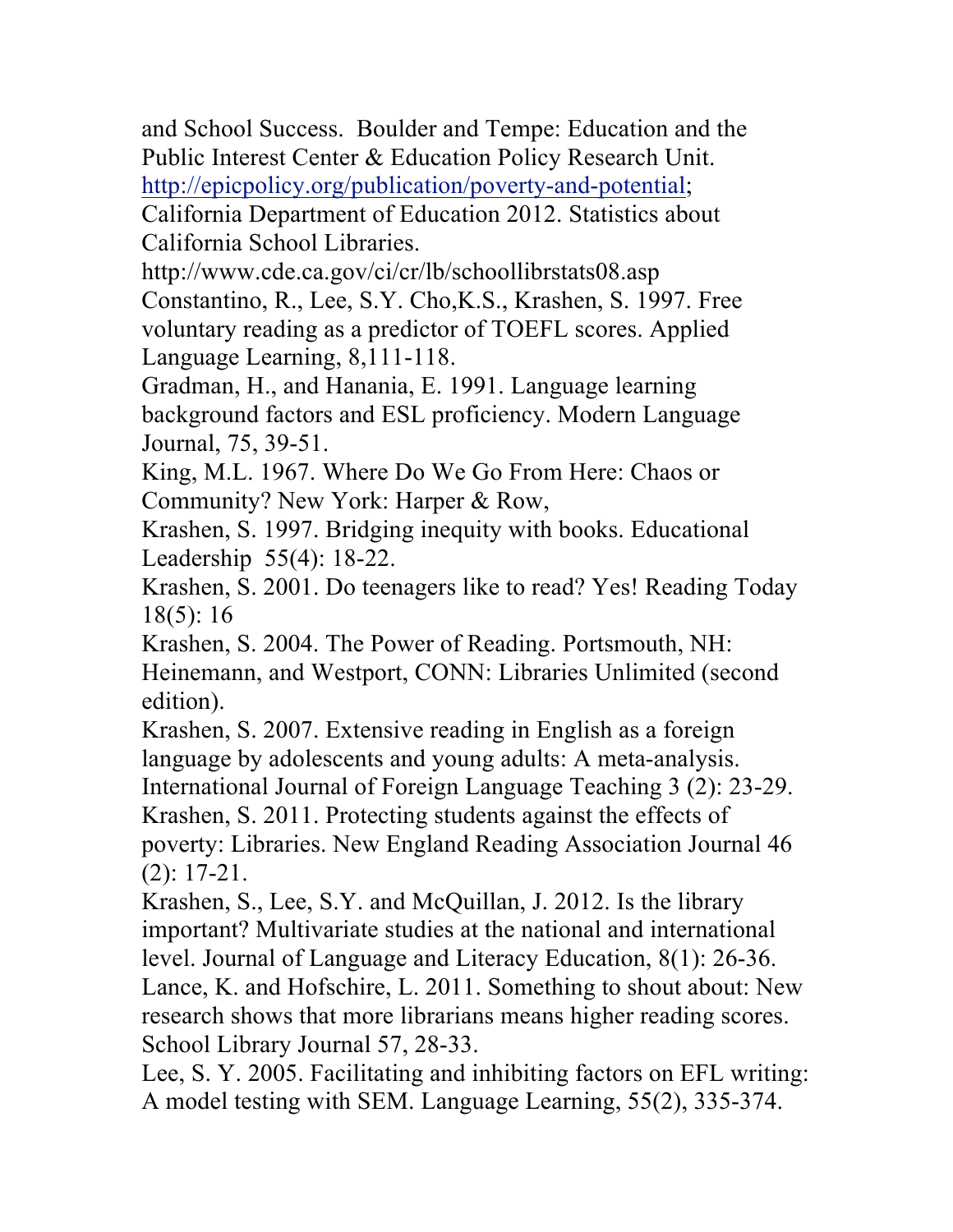and School Success. Boulder and Tempe: Education and the Public Interest Center & Education Policy Research Unit. http://epicpolicy.org/publication/poverty-and-potential;

California Department of Education 2012. Statistics about California School Libraries.

http://www.cde.ca.gov/ci/cr/lb/schoollibrstats08.asp Constantino, R., Lee, S.Y. Cho,K.S., Krashen, S. 1997. Free voluntary reading as a predictor of TOEFL scores. Applied Language Learning, 8,111-118.

Gradman, H., and Hanania, E. 1991. Language learning background factors and ESL proficiency. Modern Language Journal, 75, 39-51.

King, M.L. 1967. Where Do We Go From Here: Chaos or Community? New York: Harper & Row,

Krashen, S. 1997. Bridging inequity with books. Educational Leadership 55(4): 18-22.

Krashen, S. 2001. Do teenagers like to read? Yes! Reading Today 18(5): 16

Krashen, S. 2004. The Power of Reading. Portsmouth, NH: Heinemann, and Westport, CONN: Libraries Unlimited (second edition).

Krashen, S. 2007. Extensive reading in English as a foreign language by adolescents and young adults: A meta-analysis. International Journal of Foreign Language Teaching 3 (2): 23-29. Krashen, S. 2011. Protecting students against the effects of poverty: Libraries. New England Reading Association Journal 46 (2): 17-21.

Krashen, S., Lee, S.Y. and McQuillan, J. 2012. Is the library important? Multivariate studies at the national and international level. Journal of Language and Literacy Education, 8(1): 26-36. Lance, K. and Hofschire, L. 2011. Something to shout about: New research shows that more librarians means higher reading scores. School Library Journal 57, 28-33.

Lee, S. Y. 2005. Facilitating and inhibiting factors on EFL writing: A model testing with SEM. Language Learning, 55(2), 335-374.